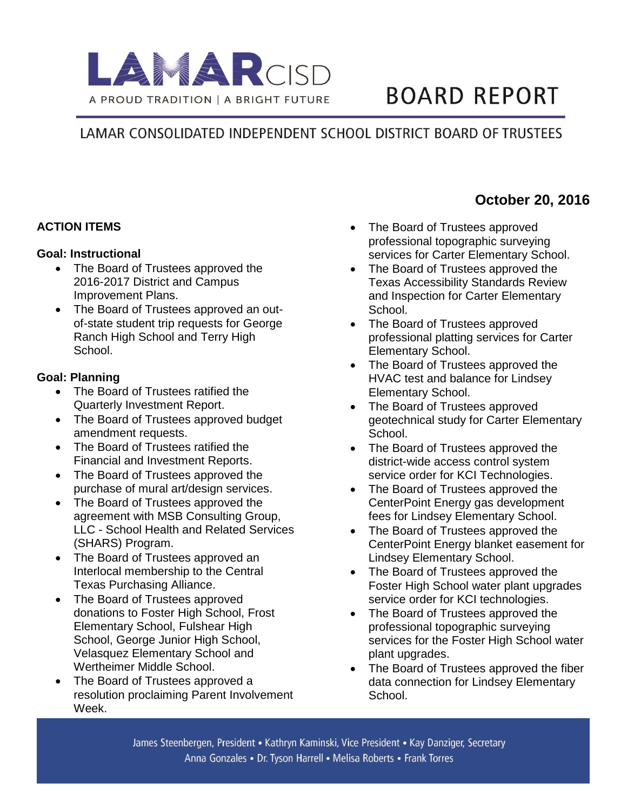

# **BOARD REPORT**

## LAMAR CONSOLIDATED INDEPENDENT SCHOOL DISTRICT BOARD OF TRUSTEES

## **ACTION ITEMS**

#### **Goal: Instructional**

- The Board of Trustees approved the 2016-2017 District and Campus Improvement Plans.
- The Board of Trustees approved an outof-state student trip requests for George Ranch High School and Terry High School.

## **Goal: Planning**

- The Board of Trustees ratified the Quarterly Investment Report.
- The Board of Trustees approved budget amendment requests.
- The Board of Trustees ratified the Financial and Investment Reports.
- The Board of Trustees approved the purchase of mural art/design services.
- The Board of Trustees approved the agreement with MSB Consulting Group, LLC - School Health and Related Services (SHARS) Program.
- The Board of Trustees approved an Interlocal membership to the Central Texas Purchasing Alliance.
- The Board of Trustees approved donations to Foster High School, Frost Elementary School, Fulshear High School, George Junior High School, Velasquez Elementary School and Wertheimer Middle School.
- The Board of Trustees approved a resolution proclaiming Parent Involvement Week.
- The Board of Trustees approved professional topographic surveying services for Carter Elementary School.
- The Board of Trustees approved the Texas Accessibility Standards Review and Inspection for Carter Elementary School.
- The Board of Trustees approved professional platting services for Carter Elementary School.
- The Board of Trustees approved the HVAC test and balance for Lindsey Elementary School.
- The Board of Trustees approved geotechnical study for Carter Elementary School.
- The Board of Trustees approved the district-wide access control system service order for KCI Technologies.
- The Board of Trustees approved the CenterPoint Energy gas development fees for Lindsey Elementary School.
- The Board of Trustees approved the CenterPoint Energy blanket easement for Lindsey Elementary School.
- The Board of Trustees approved the Foster High School water plant upgrades service order for KCI technologies.
- The Board of Trustees approved the professional topographic surveying services for the Foster High School water plant upgrades.
- The Board of Trustees approved the fiber data connection for Lindsey Elementary School.

## **October 20, 2016**